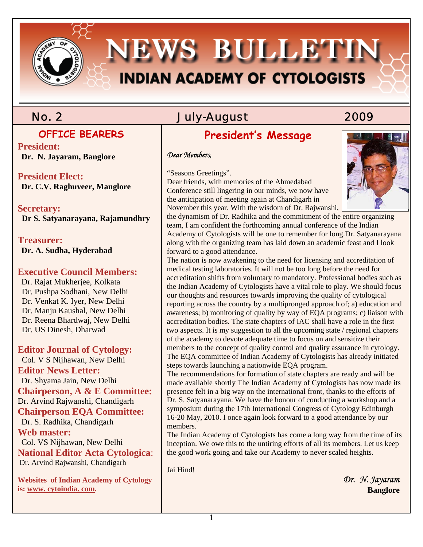# **NEWS BULLETIN INDIAN ACADEMY OF CYTOLOGISTS**

### **OFFICE BEARERS**

**President: Dr. N. Jayaram, Banglore** 

**President Elect: Dr. C.V. Raghuveer, Manglore** 

### **Secretary:**

 **Dr S. Satyanarayana, Rajamundhry** 

**Treasurer: Dr. A. Sudha, Hyderabad** 

### **Executive Council Members:**

 Dr. Rajat Mukherjee, Kolkata Dr. Pushpa Sodhani, New Delhi Dr. Venkat K. Iyer, New Delhi Dr. Manju Kaushal, New Delhi Dr. Reena Bhardwaj, New Delhi Dr. US Dinesh, Dharwad

#### **Editor Journal of Cytology:**

 Col. V S Nijhawan, New Delhi **Editor News Letter:**  Dr. Shyama Jain, New Delhi **Chairperson, A & E Committee:**  Dr. Arvind Rajwanshi, Chandigarh **Chairperson EQA Committee:**  Dr. S. Radhika, Chandigarh **Web master:**  Col. VS Nijhawan, New Delhi **National Editor Acta Cytologica**:

Dr. Arvind Rajwanshi, Chandigarh

**Websites of Indian Academy of Cytology is: www. cytoindia. com.**

## No. 2 July-August 2009

## **President's Message**

#### *Dear Members,*

"Seasons Greetings".

Dear friends, with memories of the Ahmedabad Conference still lingering in our minds, we now have the anticipation of meeting again at Chandigarh in November this year. With the wisdom of Dr. Rajwanshi,

the dynamism of Dr. Radhika and the commitment of the entire organizing team, I am confident the forthcoming annual conference of the Indian Academy of Cytologists will be one to remember for long.Dr. Satyanarayana along with the organizing team has laid down an academic feast and I look forward to a good attendance.

The nation is now awakening to the need for licensing and accreditation of medical testing laboratories. It will not be too long before the need for accreditation shifts from voluntary to mandatory. Professional bodies such as the Indian Academy of Cytologists have a vital role to play. We should focus our thoughts and resources towards improving the quality of cytological reporting across the country by a multipronged approach of; a) education and awareness; b) monitoring of quality by way of EQA programs; c) liaison with accreditation bodies. The state chapters of IAC shall have a role in the first two aspects. It is my suggestion to all the upcoming state / regional chapters of the academy to devote adequate time to focus on and sensitize their members to the concept of quality control and quality assurance in cytology. The EQA committee of Indian Academy of Cytologists has already initiated steps towards launching a nationwide EQA program.

The recommendations for formation of state chapters are ready and will be made available shortly The Indian Academy of Cytologists has now made its presence felt in a big way on the international front, thanks to the efforts of Dr. S. Satyanarayana. We have the honour of conducting a workshop and a symposium during the 17th International Congress of Cytology Edinburgh 16-20 May, 2010. I once again look forward to a good attendance by our members.

The Indian Academy of Cytologists has come a long way from the time of its inception. We owe this to the untiring efforts of all its members. Let us keep the good work going and take our Academy to never scaled heights.

Jai Hind!

 *Dr. N. Jayaram*   **Banglore** 

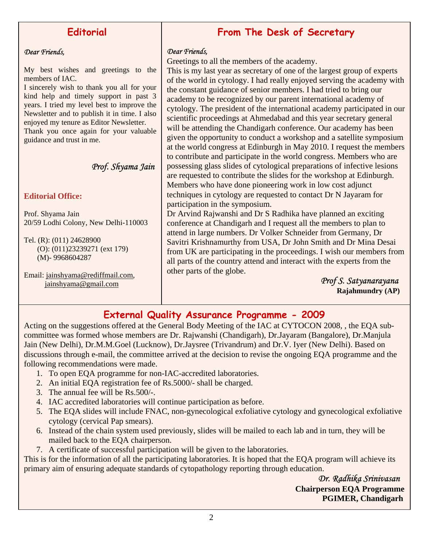### **Editorial**

#### *Dear Friends,*

My best wishes and greetings to the members of IAC.

I sincerely wish to thank you all for your kind help and timely support in past 3 years. I tried my level best to improve the Newsletter and to publish it in time. I also enjoyed my tenure as Editor Newsletter. Thank you once again for your valuable

guidance and trust in me.

#### *Prof. Shyama Jain*

#### **Editorial Office:**

Prof. Shyama Jain 20/59 Lodhi Colony, New Delhi-110003

Tel. (R): (011) 24628900 (O): (011)23239271 (ext 179) (M)- 9968604287

Email: jainshyama@rediffmail.com, jainshyama@gmail.com

### **From The Desk of Secretary**

#### *Dear Friends,*

Greetings to all the members of the academy.

This is my last year as secretary of one of the largest group of experts of the world in cytology. I had really enjoyed serving the academy with the constant guidance of senior members. I had tried to bring our academy to be recognized by our parent international academy of cytology. The president of the international academy participated in our scientific proceedings at Ahmedabad and this year secretary general will be attending the Chandigarh conference. Our academy has been given the opportunity to conduct a workshop and a satellite symposium at the world congress at Edinburgh in May 2010. I request the members to contribute and participate in the world congress. Members who are possessing glass slides of cytological preparations of infective lesions are requested to contribute the slides for the workshop at Edinburgh. Members who have done pioneering work in low cost adjunct techniques in cytology are requested to contact Dr N Jayaram for participation in the symposium.

Dr Arvind Rajwanshi and Dr S Radhika have planned an exciting conference at Chandigarh and I request all the members to plan to attend in large numbers. Dr Volker Schneider from Germany, Dr Savitri Krishnamurthy from USA, Dr John Smith and Dr Mina Desai from UK are participating in the proceedings. I wish our members from all parts of the country attend and interact with the experts from the other parts of the globe.

 *Prof S. Satyanarayana*   **Rajahmundry (AP)**

### **External Quality Assurance Programme - 2009**

Acting on the suggestions offered at the General Body Meeting of the IAC at CYTOCON 2008, , the EQA subcommittee was formed whose members are Dr. Rajwanshi (Chandigarh), Dr.Jayaram (Bangalore), Dr.Manjula Jain (New Delhi), Dr.M.M.Goel (Lucknow), Dr.Jaysree (Trivandrum) and Dr.V. Iyer (New Delhi). Based on discussions through e-mail, the committee arrived at the decision to revise the ongoing EQA programme and the following recommendations were made.

- 1. To open EQA programme for non-IAC-accredited laboratories.
- 2. An initial EQA registration fee of Rs.5000/- shall be charged.
- 3. The annual fee will be Rs.500/-.
- 4. IAC accredited laboratories will continue participation as before.
- 5. The EQA slides will include FNAC, non-gynecological exfoliative cytology and gynecological exfoliative cytology (cervical Pap smears).
- 6. Instead of the chain system used previously, slides will be mailed to each lab and in turn, they will be mailed back to the EQA chairperson.
- 7. A certificate of successful participation will be given to the laboratories.

This is for the information of all the participating laboratories. It is hoped that the EQA program will achieve its primary aim of ensuring adequate standards of cytopathology reporting through education.

> *Dr. Radhika Srinivasan*   **Chairperson EQA Programme PGIMER, Chandigarh**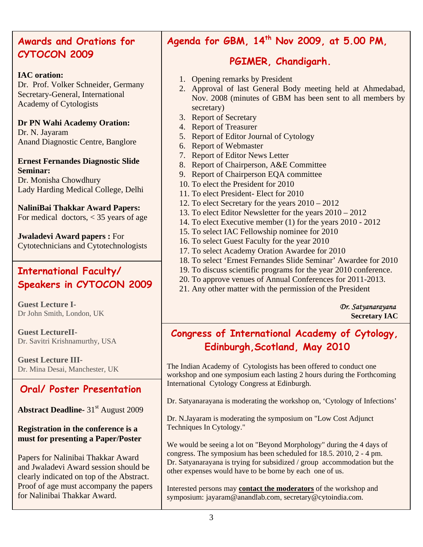### **CYTOCON 2009 Awards and Orations for**

#### **IAC oration:**

Dr. Prof. Volker Schneider, Germany Secretary-General, International Academy of Cytologists

**Dr PN Wahi Academy Oration:**  Dr. N. Jayaram Anand Diagnostic Centre, Banglore

**Ernest Fernandes Diagnostic Slide Seminar:** Dr. Monisha Chowdhury

Lady Harding Medical College, Delhi

**NaliniBai Thakkar Award Papers:**  For medical doctors, < 35 years of age

**Jwaladevi Award papers :** For Cytotechnicians and Cytotechnologists

### **International Faculty/ Speakers in CYTOCON 2009**

**Guest Lecture I-**Dr John Smith, London, UK

**Guest LectureII-**Dr. Savitri Krishnamurthy, USA

**Guest Lecture III-**Dr. Mina Desai, Manchester, UK

### **Oral/ Poster Presentation**

**Abstract Deadline-** 31<sup>st</sup> August 2009

#### **Registration in the conference is a must for presenting a Paper/Poster**

Papers for Nalinibai Thakkar Award and Jwaladevi Award session should be clearly indicated on top of the Abstract. Proof of age must accompany the papers for Nalinibai Thakkar Award.

### **Agenda for GBM, 14th Nov 2009, at 5.00 PM,**

### **PGIMER, Chandigarh.**

- 1. Opening remarks by President
- 2. Approval of last General Body meeting held at Ahmedabad, Nov. 2008 (minutes of GBM has been sent to all members by secretary)
- 3. Report of Secretary
- 4. Report of Treasurer
- 5. Report of Editor Journal of Cytology
- 6. Report of Webmaster
- 7. Report of Editor News Letter
- 8. Report of Chairperson, A&E Committee
- 9. Report of Chairperson EQA committee
- 10. To elect the President for 2010
- 11. To elect President- Elect for 2010
- 12. To elect Secretary for the years 2010 2012
- 13. To elect Editor Newsletter for the years 2010 2012
- 14. To elect Executive member (1) for the years 2010 2012
- 15. To select IAC Fellowship nominee for 2010
- 16. To select Guest Faculty for the year 2010
- 17. To select Academy Oration Awardee for 2010
- 18. To select 'Ernest Fernandes Slide Seminar' Awardee for 2010
- 19. To discuss scientific programs for the year 2010 conference.
- 20. To approve venues of Annual Conferences for 2011-2013.
- 21. Any other matter with the permission of the President

*Dr. Satyanarayana*   **Secretary IAC** 

### **Congress of International Academy of Cytology, Edinburgh,Scotland, May 2010**

The Indian Academy of Cytologists has been offered to conduct one workshop and one symposium each lasting 2 hours during the Forthcoming International Cytology Congress at Edinburgh.

Dr. Satyanarayana is moderating the workshop on, 'Cytology of Infections'

Dr. N.Jayaram is moderating the symposium on "Low Cost Adjunct Techniques In Cytology."

We would be seeing a lot on "Beyond Morphology" during the 4 days of congress. The symposium has been scheduled for 18.5. 2010, 2 - 4 pm. Dr. Satyanarayana is trying for subsidized / group accommodation but the other expenses would have to be borne by each one of us.

Interested persons may **contact the moderators** of the workshop and symposium: jayaram@anandlab.com, secretary@cytoindia.com.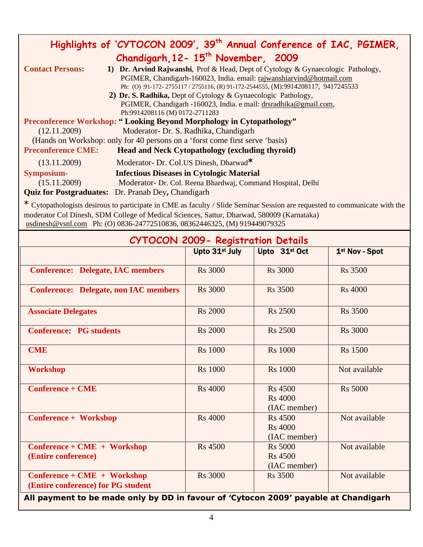| Highlights of 'CYTOCON 2009', 39 <sup>th</sup> Annual Conference of IAC, PGIMER, |                                                                                                                                                                                                                                            |  |  |  |
|----------------------------------------------------------------------------------|--------------------------------------------------------------------------------------------------------------------------------------------------------------------------------------------------------------------------------------------|--|--|--|
| Chandigarh, 12-15 <sup>th</sup> November, 2009                                   |                                                                                                                                                                                                                                            |  |  |  |
| <b>Contact Persons:</b>                                                          | 1) Dr. Arvind Rajwanshi, Prof & Head, Dept of Cytology & Gynaecologic Pathology,<br>PGIMER, Chandigarh-160023, India. email: rajwanshiarvind@hotmail.com<br>Ph: (O):91-172-2755117/2755116, (R) 91-172-2544555, (M):9914208117, 9417245533 |  |  |  |
| 2) Dr. S. Radhika, Dept of Cytology & Gynaecologic Pathology,                    |                                                                                                                                                                                                                                            |  |  |  |
|                                                                                  | PGIMER, Chandigarh -160023, India. e mail: drsradhika@gmail.com,                                                                                                                                                                           |  |  |  |
|                                                                                  | Ph:9914208116 (M) 0172-2711283                                                                                                                                                                                                             |  |  |  |
| <b>Preconference Workshop: "Looking Beyond Morphology in Cytopathology"</b>      |                                                                                                                                                                                                                                            |  |  |  |
| (12.11.2009)                                                                     | Moderator- Dr. S. Radhika, Chandigarh                                                                                                                                                                                                      |  |  |  |
| (Hands on Workshop: only for 40 persons on a 'forst come first serve 'basis)     |                                                                                                                                                                                                                                            |  |  |  |
| <b>Preconference CME:</b>                                                        | <b>Head and Neck Cytopathology (excluding thyroid)</b>                                                                                                                                                                                     |  |  |  |
| (13.11.2009)                                                                     | Moderator- Dr. Col.US Dinesh, Dharwad*                                                                                                                                                                                                     |  |  |  |
| <b>Symposium-</b>                                                                | <b>Infectious Diseases in Cytologic Material</b>                                                                                                                                                                                           |  |  |  |
| (15.11.2009)                                                                     | Moderator- Dr. Col. Reena Bhardwaj, Command Hospital, Delhi                                                                                                                                                                                |  |  |  |
|                                                                                  | <b>Quiz for Postgraduates:</b> Dr. Pranab Dey, Chandigarh                                                                                                                                                                                  |  |  |  |

\* Cytopathologists desirous to participate in CME as faculty / Slide Seminar Session are requested to communicate with the moderator Col Dinesh, SDM College of Medical Sciences, Sattur, Dharwad, 580009 (Karnataka) usdinesh@vsnl.com Ph: (O) 0836-24772510836, 08362446325, (M) 919449079325

| <b>CYTOCON 2009- Registration Details</b>                                           |                            |                                                  |                |  |
|-------------------------------------------------------------------------------------|----------------------------|--------------------------------------------------|----------------|--|
|                                                                                     | Upto 31 <sup>st</sup> July | Upto 31 <sup>st</sup> Oct                        | 1st Nov - Spot |  |
| <b>Conference: Delegate, IAC members</b>                                            | <b>Rs</b> 3000             | <b>Rs</b> 3000                                   | <b>Rs</b> 3500 |  |
| <b>Conference: Delegate, non IAC members</b>                                        | <b>Rs</b> 3000             | <b>Rs</b> 3500                                   | <b>Rs</b> 4000 |  |
| <b>Associate Delegates</b>                                                          | <b>Rs 2000</b>             | <b>Rs</b> 2500                                   | <b>Rs</b> 3500 |  |
| <b>Conference: PG students</b>                                                      | <b>Rs</b> 2000             | <b>Rs</b> 2500                                   | <b>Rs</b> 3000 |  |
| <b>CME</b>                                                                          | <b>Rs</b> 1000             | <b>Rs</b> 1000                                   | <b>Rs</b> 1500 |  |
| <b>Workshop</b>                                                                     | <b>Rs</b> 1000             | <b>Rs</b> 1000                                   | Not available  |  |
| <b>Conference + CME</b>                                                             | <b>Rs</b> 4000             | <b>Rs</b> 4500<br><b>Rs</b> 4000<br>(IAC member) | <b>Rs</b> 5000 |  |
| Conference + Workshop                                                               | <b>Rs</b> 4000             | <b>Rs</b> 4500<br><b>Rs</b> 4000<br>(IAC member) | Not available  |  |
| Conference + CME + Workshop<br>(Entire conference)                                  | <b>Rs</b> 4500             | <b>Rs 5000</b><br><b>Rs</b> 4500<br>(IAC member) | Not available  |  |
| Conference + CME + Workshop<br>(Entire conference) for PG student                   | <b>Rs</b> 3000             | <b>Rs</b> 3500                                   | Not available  |  |
| All payment to be made only by DD in favour of 'Cytocon 2009' payable at Chandigarh |                            |                                                  |                |  |